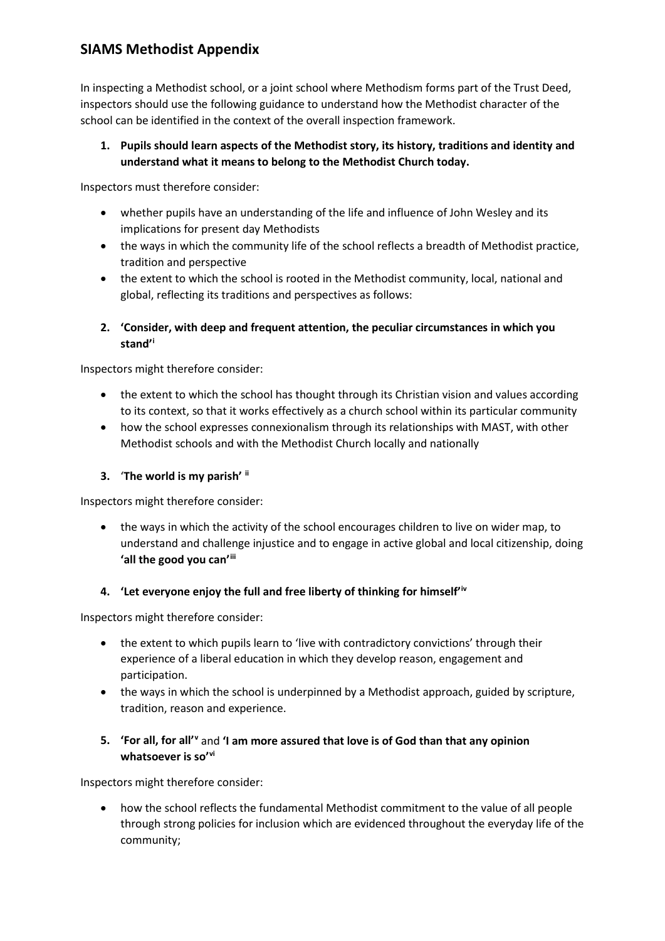# **SIAMS Methodist Appendix**

In inspecting a Methodist school, or a joint school where Methodism forms part of the Trust Deed, inspectors should use the following guidance to understand how the Methodist character of the school can be identified in the context of the overall inspection framework.

**1. Pupils should learn aspects of the Methodist story, its history, traditions and identity and understand what it means to belong to the Methodist Church today.**

Inspectors must therefore consider:

- whether pupils have an understanding of the life and influence of John Wesley and its implications for present day Methodists
- the ways in which the community life of the school reflects a breadth of Methodist practice, tradition and perspective
- the extent to which the school is rooted in the Methodist community, local, national and global, reflecting its traditions and perspectives as follows:
- **2. 'Consider, with deep and frequent attention, the peculiar circumstances in which you stand'[i](#page-1-0)**

Inspectors might therefore consider:

- the extent to which the school has thought through its Christian vision and values according to its context, so that it works effectively as a church school within its particular community
- how the school expresses connexionalism through its relationships with MAST, with other Methodist schools and with the Methodist Church locally and nationally

#### **3.** '**The world is my parish' [ii](#page-1-1)**

Inspectors might therefore consider:

• the ways in which the activity of the school encourages children to live on wider map, to understand and challenge injustice and to engage in active global and local citizenship, doing **'all the good you can'[iii](#page-1-2)**

#### **4. 'Let everyone enjoy the full and free liberty of thinking for himself'[iv](#page-1-3)**

Inspectors might therefore consider:

- the extent to which pupils learn to 'live with contradictory convictions' through their experience of a liberal education in which they develop reason, engagement and participation.
- the ways in which the school is underpinned by a Methodist approach, guided by scripture, tradition, reason and experience.

#### **5. 'For all, for all'[v](#page-1-4)** and **'I am more assured that love is of God than that any opinion whatsoever is so'[vi](#page-1-5)**

Inspectors might therefore consider:

• how the school reflects the fundamental Methodist commitment to the value of all people through strong policies for inclusion which are evidenced throughout the everyday life of the community;